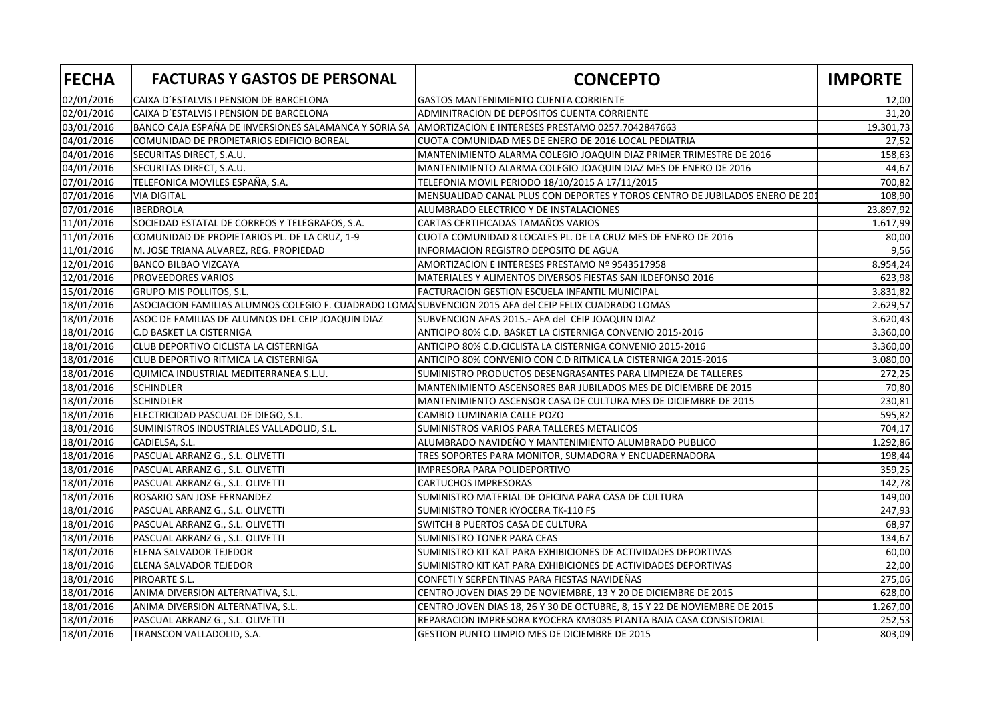| <b>FECHA</b> | <b>FACTURAS Y GASTOS DE PERSONAL</b>                                                                   | <b>CONCEPTO</b>                                                             | <b>IMPORTE</b> |
|--------------|--------------------------------------------------------------------------------------------------------|-----------------------------------------------------------------------------|----------------|
| 02/01/2016   | CAIXA D'ESTALVIS I PENSION DE BARCELONA                                                                | GASTOS MANTENIMIENTO CUENTA CORRIENTE                                       | 12,00          |
| 02/01/2016   | CAIXA D'ESTALVIS I PENSION DE BARCELONA                                                                | ADMINITRACION DE DEPOSITOS CUENTA CORRIENTE                                 | 31,20          |
| 03/01/2016   | BANCO CAJA ESPAÑA DE INVERSIONES SALAMANCA Y SORIA SA                                                  | AMORTIZACION E INTERESES PRESTAMO 0257.7042847663                           | 19.301,73      |
| 04/01/2016   | COMUNIDAD DE PROPIETARIOS EDIFICIO BOREAL                                                              | CUOTA COMUNIDAD MES DE ENERO DE 2016 LOCAL PEDIATRIA                        | 27,52          |
| 04/01/2016   | SECURITAS DIRECT, S.A.U.                                                                               | MANTENIMIENTO ALARMA COLEGIO JOAQUIN DIAZ PRIMER TRIMESTRE DE 2016          | 158,63         |
| 04/01/2016   | SECURITAS DIRECT, S.A.U.                                                                               | MANTENIMIENTO ALARMA COLEGIO JOAQUIN DIAZ MES DE ENERO DE 2016              | 44,67          |
| 07/01/2016   | TELEFONICA MOVILES ESPAÑA, S.A.                                                                        | TELEFONIA MOVIL PERIODO 18/10/2015 A 17/11/2015                             | 700,82         |
| 07/01/2016   | <b>VIA DIGITAL</b>                                                                                     | MENSUALIDAD CANAL PLUS CON DEPORTES Y TOROS CENTRO DE JUBILADOS ENERO DE 20 | 108,90         |
| 07/01/2016   | <b>IBERDROLA</b>                                                                                       | ALUMBRADO ELECTRICO Y DE INSTALACIONES                                      | 23.897,92      |
| 11/01/2016   | SOCIEDAD ESTATAL DE CORREOS Y TELEGRAFOS, S.A.                                                         | CARTAS CERTIFICADAS TAMAÑOS VARIOS                                          | 1.617,99       |
| 11/01/2016   | COMUNIDAD DE PROPIETARIOS PL. DE LA CRUZ, 1-9                                                          | CUOTA COMUNIDAD 8 LOCALES PL. DE LA CRUZ MES DE ENERO DE 2016               | 80,00          |
| 11/01/2016   | M. JOSE TRIANA ALVAREZ, REG. PROPIEDAD                                                                 | INFORMACION REGISTRO DEPOSITO DE AGUA                                       | 9,56           |
| 12/01/2016   | <b>BANCO BILBAO VIZCAYA</b>                                                                            | AMORTIZACION E INTERESES PRESTAMO Nº 9543517958                             | 8.954,24       |
| 12/01/2016   | PROVEEDORES VARIOS                                                                                     | MATERIALES Y ALIMENTOS DIVERSOS FIESTAS SAN ILDEFONSO 2016                  | 623,98         |
| 15/01/2016   | GRUPO MIS POLLITOS, S.L.                                                                               | <b>FACTURACION GESTION ESCUELA INFANTIL MUNICIPAL</b>                       | 3.831,82       |
| 18/01/2016   | ASOCIACION FAMILIAS ALUMNOS COLEGIO F. CUADRADO LOMAISUBVENCION 2015 AFA del CEIP FELIX CUADRADO LOMAS |                                                                             | 2.629,57       |
| 18/01/2016   | ASOC DE FAMILIAS DE ALUMNOS DEL CEIP JOAQUIN DIAZ                                                      | SUBVENCION AFAS 2015.- AFA del CEIP JOAQUIN DIAZ                            | 3.620,43       |
| 18/01/2016   | C.D BASKET LA CISTERNIGA                                                                               | ANTICIPO 80% C.D. BASKET LA CISTERNIGA CONVENIO 2015-2016                   | 3.360,00       |
| 18/01/2016   | CLUB DEPORTIVO CICLISTA LA CISTERNIGA                                                                  | ANTICIPO 80% C.D.CICLISTA LA CISTERNIGA CONVENIO 2015-2016                  | 3.360,00       |
| 18/01/2016   | CLUB DEPORTIVO RITMICA LA CISTERNIGA                                                                   | ANTICIPO 80% CONVENIO CON C.D RITMICA LA CISTERNIGA 2015-2016               | 3.080,00       |
| 18/01/2016   | QUIMICA INDUSTRIAL MEDITERRANEA S.L.U.                                                                 | SUMINISTRO PRODUCTOS DESENGRASANTES PARA LIMPIEZA DE TALLERES               | 272,25         |
| 18/01/2016   | <b>SCHINDLER</b>                                                                                       | MANTENIMIENTO ASCENSORES BAR JUBILADOS MES DE DICIEMBRE DE 2015             | 70,80          |
| 18/01/2016   | <b>SCHINDLER</b>                                                                                       | MANTENIMIENTO ASCENSOR CASA DE CULTURA MES DE DICIEMBRE DE 2015             | 230,81         |
| 18/01/2016   | ELECTRICIDAD PASCUAL DE DIEGO, S.L.                                                                    | CAMBIO LUMINARIA CALLE POZO                                                 | 595,82         |
| 18/01/2016   | SUMINISTROS INDUSTRIALES VALLADOLID, S.L.                                                              | SUMINISTROS VARIOS PARA TALLERES METALICOS                                  | 704,17         |
| 18/01/2016   | CADIELSA, S.L.                                                                                         | ALUMBRADO NAVIDEÑO Y MANTENIMIENTO ALUMBRADO PUBLICO                        | 1.292,86       |
| 18/01/2016   | PASCUAL ARRANZ G., S.L. OLIVETTI                                                                       | TRES SOPORTES PARA MONITOR, SUMADORA Y ENCUADERNADORA                       | 198,44         |
| 18/01/2016   | PASCUAL ARRANZ G., S.L. OLIVETTI                                                                       | IMPRESORA PARA POLIDEPORTIVO                                                | 359,25         |
| 18/01/2016   | PASCUAL ARRANZ G., S.L. OLIVETTI                                                                       | <b>CARTUCHOS IMPRESORAS</b>                                                 | 142,78         |
| 18/01/2016   | ROSARIO SAN JOSE FERNANDEZ                                                                             | SUMINISTRO MATERIAL DE OFICINA PARA CASA DE CULTURA                         | 149,00         |
| 18/01/2016   | PASCUAL ARRANZ G., S.L. OLIVETTI                                                                       | SUMINISTRO TONER KYOCERA TK-110 FS                                          | 247,93         |
| 18/01/2016   | PASCUAL ARRANZ G., S.L. OLIVETTI                                                                       | SWITCH 8 PUERTOS CASA DE CULTURA                                            | 68,97          |
| 18/01/2016   | PASCUAL ARRANZ G., S.L. OLIVETTI                                                                       | SUMINISTRO TONER PARA CEAS                                                  | 134,67         |
| 18/01/2016   | ELENA SALVADOR TEJEDOR                                                                                 | SUMINISTRO KIT KAT PARA EXHIBICIONES DE ACTIVIDADES DEPORTIVAS              | 60,00          |
| 18/01/2016   | ELENA SALVADOR TEJEDOR                                                                                 | SUMINISTRO KIT KAT PARA EXHIBICIONES DE ACTIVIDADES DEPORTIVAS              | 22,00          |
| 18/01/2016   | PIROARTE S.L.                                                                                          | CONFETI Y SERPENTINAS PARA FIESTAS NAVIDEÑAS                                | 275,06         |
| 18/01/2016   | ANIMA DIVERSION ALTERNATIVA, S.L.                                                                      | CENTRO JOVEN DIAS 29 DE NOVIEMBRE, 13 Y 20 DE DICIEMBRE DE 2015             | 628,00         |
| 18/01/2016   | ANIMA DIVERSION ALTERNATIVA, S.L.                                                                      | CENTRO JOVEN DIAS 18, 26 Y 30 DE OCTUBRE, 8, 15 Y 22 DE NOVIEMBRE DE 2015   | 1.267,00       |
| 18/01/2016   | PASCUAL ARRANZ G., S.L. OLIVETTI                                                                       | REPARACION IMPRESORA KYOCERA KM3035 PLANTA BAJA CASA CONSISTORIAL           | 252,53         |
| 18/01/2016   | TRANSCON VALLADOLID, S.A.                                                                              | GESTION PUNTO LIMPIO MES DE DICIEMBRE DE 2015                               | 803,09         |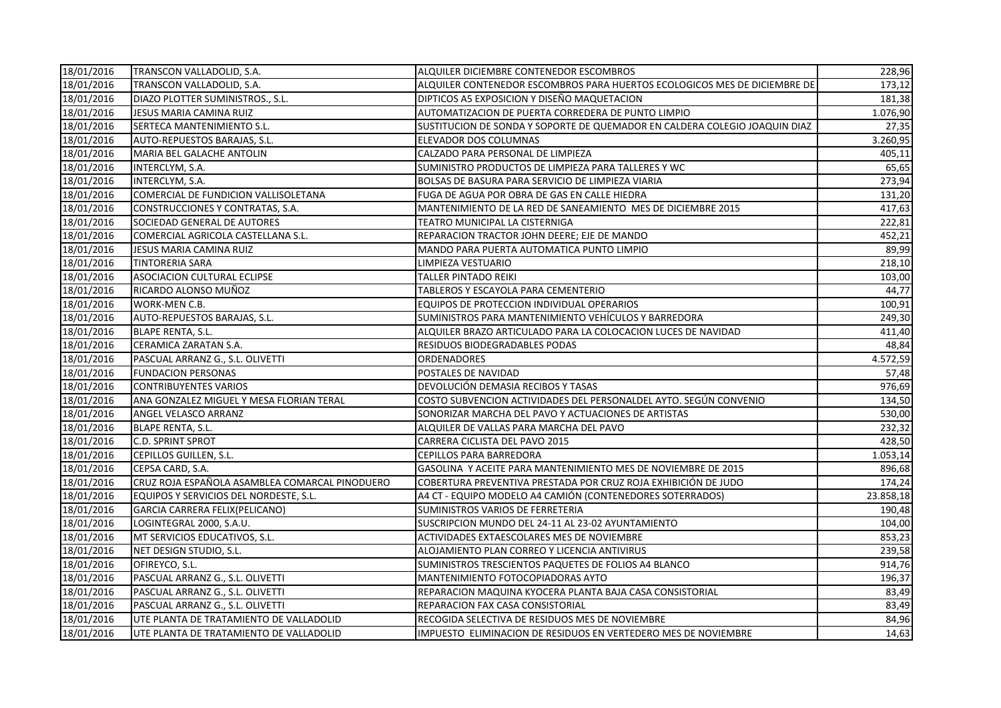| 18/01/2016 | TRANSCON VALLADOLID, S.A.                      | ALQUILER DICIEMBRE CONTENEDOR ESCOMBROS                                    | 228,96    |
|------------|------------------------------------------------|----------------------------------------------------------------------------|-----------|
| 18/01/2016 | TRANSCON VALLADOLID, S.A.                      | ALQUILER CONTENEDOR ESCOMBROS PARA HUERTOS ECOLOGICOS MES DE DICIEMBRE DE  | 173,12    |
| 18/01/2016 | DIAZO PLOTTER SUMINISTROS., S.L.               | DIPTICOS A5 EXPOSICION Y DISEÑO MAQUETACION                                | 181,38    |
| 18/01/2016 | JESUS MARIA CAMINA RUIZ                        | AUTOMATIZACION DE PUERTA CORREDERA DE PUNTO LIMPIO                         | 1.076,90  |
| 18/01/2016 | SERTECA MANTENIMIENTO S.L.                     | SUSTITUCION DE SONDA Y SOPORTE DE QUEMADOR EN CALDERA COLEGIO JOAQUIN DIAZ | 27,35     |
| 18/01/2016 | AUTO-REPUESTOS BARAJAS, S.L.                   | ELEVADOR DOS COLUMNAS                                                      | 3.260,95  |
| 18/01/2016 | MARIA BEL GALACHE ANTOLIN                      | CALZADO PARA PERSONAL DE LIMPIEZA                                          | 405,11    |
| 18/01/2016 | INTERCLYM, S.A.                                | SUMINISTRO PRODUCTOS DE LIMPIEZA PARA TALLERES Y WC                        | 65,65     |
| 18/01/2016 | INTERCLYM, S.A.                                | BOLSAS DE BASURA PARA SERVICIO DE LIMPIEZA VIARIA                          | 273,94    |
| 18/01/2016 | COMERCIAL DE FUNDICION VALLISOLETANA           | FUGA DE AGUA POR OBRA DE GAS EN CALLE HIEDRA                               | 131,20    |
| 18/01/2016 | CONSTRUCCIONES Y CONTRATAS, S.A.               | MANTENIMIENTO DE LA RED DE SANEAMIENTO MES DE DICIEMBRE 2015               | 417,63    |
| 18/01/2016 | SOCIEDAD GENERAL DE AUTORES                    | TEATRO MUNICIPAL LA CISTERNIGA                                             | 222,81    |
| 18/01/2016 | COMERCIAL AGRICOLA CASTELLANA S.L.             | REPARACION TRACTOR JOHN DEERE; EJE DE MANDO                                | 452,21    |
| 18/01/2016 | JESUS MARIA CAMINA RUIZ                        | MANDO PARA PUERTA AUTOMATICA PUNTO LIMPIO                                  | 89,99     |
| 18/01/2016 | <b>TINTORERIA SARA</b>                         | LIMPIEZA VESTUARIO                                                         | 218,10    |
| 18/01/2016 | <b>ASOCIACION CULTURAL ECLIPSE</b>             | TALLER PINTADO REIKI                                                       | 103,00    |
| 18/01/2016 | RICARDO ALONSO MUÑOZ                           | TABLEROS Y ESCAYOLA PARA CEMENTERIO                                        | 44,77     |
| 18/01/2016 | WORK-MEN C.B.                                  | EQUIPOS DE PROTECCION INDIVIDUAL OPERARIOS                                 | 100,91    |
| 18/01/2016 | AUTO-REPUESTOS BARAJAS, S.L.                   | SUMINISTROS PARA MANTENIMIENTO VEHÍCULOS Y BARREDORA                       | 249,30    |
| 18/01/2016 | <b>BLAPE RENTA, S.L.</b>                       | ALQUILER BRAZO ARTICULADO PARA LA COLOCACION LUCES DE NAVIDAD              | 411,40    |
| 18/01/2016 | CERAMICA ZARATAN S.A.                          | RESIDUOS BIODEGRADABLES PODAS                                              | 48,84     |
| 18/01/2016 | PASCUAL ARRANZ G., S.L. OLIVETTI               | <b>ORDENADORES</b>                                                         | 4.572,59  |
| 18/01/2016 | <b>FUNDACION PERSONAS</b>                      | POSTALES DE NAVIDAD                                                        | 57,48     |
| 18/01/2016 | <b>CONTRIBUYENTES VARIOS</b>                   | DEVOLUCIÓN DEMASIA RECIBOS Y TASAS                                         | 976,69    |
| 18/01/2016 | ANA GONZALEZ MIGUEL Y MESA FLORIAN TERAL       | COSTO SUBVENCION ACTIVIDADES DEL PERSONALDEL AYTO. SEGÚN CONVENIO          | 134,50    |
| 18/01/2016 | ANGEL VELASCO ARRANZ                           | SONORIZAR MARCHA DEL PAVO Y ACTUACIONES DE ARTISTAS                        | 530,00    |
| 18/01/2016 | <b>BLAPE RENTA, S.L.</b>                       | ALQUILER DE VALLAS PARA MARCHA DEL PAVO                                    | 232,32    |
| 18/01/2016 | <b>C.D. SPRINT SPROT</b>                       | CARRERA CICLISTA DEL PAVO 2015                                             | 428,50    |
| 18/01/2016 | CEPILLOS GUILLEN, S.L.                         | <b>CEPILLOS PARA BARREDORA</b>                                             | 1.053,14  |
| 18/01/2016 | CEPSA CARD, S.A.                               | GASOLINA Y ACEITE PARA MANTENIMIENTO MES DE NOVIEMBRE DE 2015              | 896,68    |
| 18/01/2016 | CRUZ ROJA ESPAÑOLA ASAMBLEA COMARCAL PINODUERO | COBERTURA PREVENTIVA PRESTADA POR CRUZ ROJA EXHIBICIÓN DE JUDO             | 174,24    |
| 18/01/2016 | EQUIPOS Y SERVICIOS DEL NORDESTE, S.L.         | A4 CT - EQUIPO MODELO A4 CAMIÓN (CONTENEDORES SOTERRADOS)                  | 23.858,18 |
| 18/01/2016 | GARCIA CARRERA FELIX(PELICANO)                 | SUMINISTROS VARIOS DE FERRETERIA                                           | 190,48    |
| 18/01/2016 | LOGINTEGRAL 2000, S.A.U.                       | SUSCRIPCION MUNDO DEL 24-11 AL 23-02 AYUNTAMIENTO                          | 104,00    |
| 18/01/2016 | MT SERVICIOS EDUCATIVOS, S.L.                  | ACTIVIDADES EXTAESCOLARES MES DE NOVIEMBRE                                 | 853,23    |
| 18/01/2016 | NET DESIGN STUDIO, S.L.                        | ALOJAMIENTO PLAN CORREO Y LICENCIA ANTIVIRUS                               | 239,58    |
| 18/01/2016 | OFIREYCO, S.L.                                 | SUMINISTROS TRESCIENTOS PAQUETES DE FOLIOS A4 BLANCO                       | 914,76    |
| 18/01/2016 | PASCUAL ARRANZ G., S.L. OLIVETTI               | MANTENIMIENTO FOTOCOPIADORAS AYTO                                          | 196,37    |
| 18/01/2016 | PASCUAL ARRANZ G., S.L. OLIVETTI               | REPARACION MAQUINA KYOCERA PLANTA BAJA CASA CONSISTORIAL                   | 83,49     |
| 18/01/2016 | PASCUAL ARRANZ G., S.L. OLIVETTI               | REPARACION FAX CASA CONSISTORIAL                                           | 83,49     |
| 18/01/2016 | UTE PLANTA DE TRATAMIENTO DE VALLADOLID        | RECOGIDA SELECTIVA DE RESIDUOS MES DE NOVIEMBRE                            | 84,96     |
| 18/01/2016 | UTE PLANTA DE TRATAMIENTO DE VALLADOLID        | IMPUESTO ELIMINACION DE RESIDUOS EN VERTEDERO MES DE NOVIEMBRE             | 14,63     |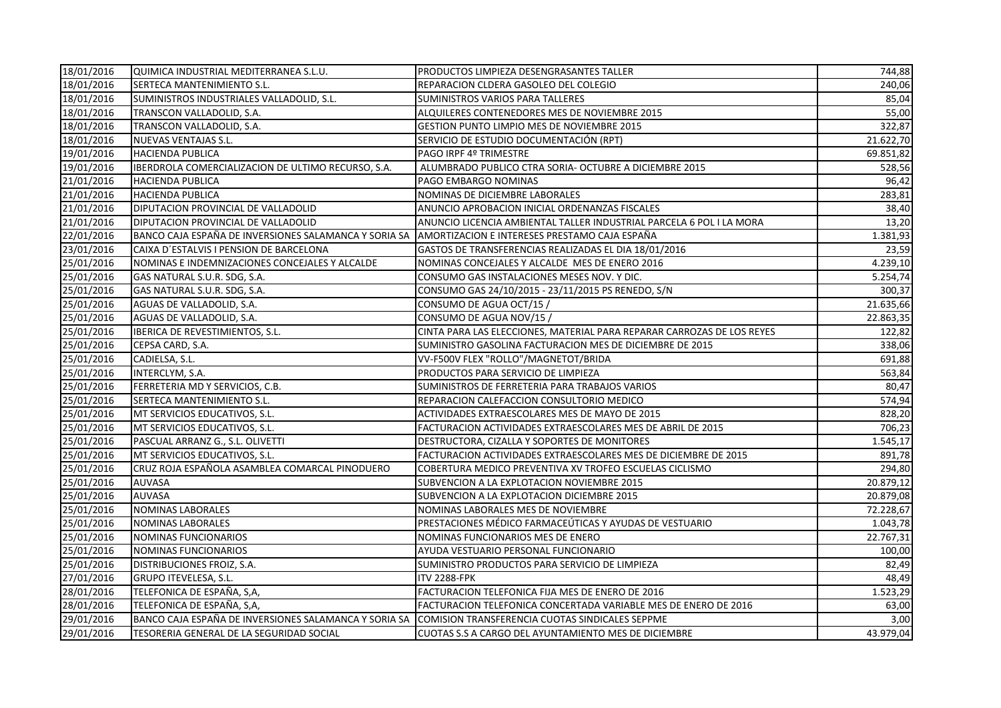| 18/01/2016              | QUIMICA INDUSTRIAL MEDITERRANEA S.L.U.                | PRODUCTOS LIMPIEZA DESENGRASANTES TALLER                               | 744,88    |
|-------------------------|-------------------------------------------------------|------------------------------------------------------------------------|-----------|
| 18/01/2016              | SERTECA MANTENIMIENTO S.L.                            | REPARACION CLDERA GASOLEO DEL COLEGIO                                  | 240,06    |
| 18/01/2016              | SUMINISTROS INDUSTRIALES VALLADOLID, S.L.             | SUMINISTROS VARIOS PARA TALLERES                                       | 85,04     |
| 18/01/2016              | TRANSCON VALLADOLID, S.A.                             | ALQUILERES CONTENEDORES MES DE NOVIEMBRE 2015                          | 55,00     |
| 18/01/2016              | TRANSCON VALLADOLID, S.A.                             | GESTION PUNTO LIMPIO MES DE NOVIEMBRE 2015                             | 322,87    |
| 18/01/2016              | NUEVAS VENTAJAS S.L.                                  | SERVICIO DE ESTUDIO DOCUMENTACIÓN (RPT)                                | 21.622,70 |
| 19/01/2016              | <b>HACIENDA PUBLICA</b>                               | PAGO IRPF 4º TRIMESTRE                                                 | 69.851,82 |
| 19/01/2016              | IBERDROLA COMERCIALIZACION DE ULTIMO RECURSO, S.A.    | ALUMBRADO PUBLICO CTRA SORIA- OCTUBRE A DICIEMBRE 2015                 | 528,56    |
| 21/01/2016              | <b>HACIENDA PUBLICA</b>                               | PAGO EMBARGO NOMINAS                                                   | 96,42     |
| 21/01/2016              | <b>HACIENDA PUBLICA</b>                               | NOMINAS DE DICIEMBRE LABORALES                                         | 283,81    |
| 21/01/2016              | DIPUTACION PROVINCIAL DE VALLADOLID                   | ANUNCIO APROBACION INICIAL ORDENANZAS FISCALES                         | 38,40     |
| $\overline{21}/01/2016$ | DIPUTACION PROVINCIAL DE VALLADOLID                   | ANUNCIO LICENCIA AMBIENTAL TALLER INDUSTRIAL PARCELA 6 POL I LA MORA   | 13,20     |
| 22/01/2016              | BANCO CAJA ESPAÑA DE INVERSIONES SALAMANCA Y SORIA SA | AMORTIZACION E INTERESES PRESTAMO CAJA ESPAÑA                          | 1.381,93  |
| 23/01/2016              | CAIXA D'ESTALVIS I PENSION DE BARCELONA               | GASTOS DE TRANSFERENCIAS REALIZADAS EL DIA 18/01/2016                  | 23,59     |
| 25/01/2016              | NOMINAS E INDEMNIZACIONES CONCEJALES Y ALCALDE        | NOMINAS CONCEJALES Y ALCALDE MES DE ENERO 2016                         | 4.239,10  |
| 25/01/2016              | GAS NATURAL S.U.R. SDG, S.A.                          | CONSUMO GAS INSTALACIONES MESES NOV. Y DIC.                            | 5.254,74  |
| 25/01/2016              | GAS NATURAL S.U.R. SDG, S.A.                          | CONSUMO GAS 24/10/2015 - 23/11/2015 PS RENEDO, S/N                     | 300,37    |
| 25/01/2016              | AGUAS DE VALLADOLID, S.A.                             | CONSUMO DE AGUA OCT/15 /                                               | 21.635,66 |
| 25/01/2016              | AGUAS DE VALLADOLID, S.A.                             | CONSUMO DE AGUA NOV/15 /                                               | 22.863,35 |
| 25/01/2016              | IBERICA DE REVESTIMIENTOS, S.L.                       | CINTA PARA LAS ELECCIONES, MATERIAL PARA REPARAR CARROZAS DE LOS REYES | 122,82    |
| 25/01/2016              | CEPSA CARD, S.A.                                      | SUMINISTRO GASOLINA FACTURACION MES DE DICIEMBRE DE 2015               | 338,06    |
| 25/01/2016              | CADIELSA, S.L.                                        | VV-F500V FLEX "ROLLO"/MAGNETOT/BRIDA                                   | 691,88    |
| 25/01/2016              | INTERCLYM, S.A.                                       | PRODUCTOS PARA SERVICIO DE LIMPIEZA                                    | 563,84    |
| 25/01/2016              | FERRETERIA MD Y SERVICIOS, C.B.                       | SUMINISTROS DE FERRETERIA PARA TRABAJOS VARIOS                         | 80,47     |
| 25/01/2016              | SERTECA MANTENIMIENTO S.L.                            | REPARACION CALEFACCION CONSULTORIO MEDICO                              | 574,94    |
| 25/01/2016              | MT SERVICIOS EDUCATIVOS, S.L.                         | ACTIVIDADES EXTRAESCOLARES MES DE MAYO DE 2015                         | 828,20    |
| 25/01/2016              | MT SERVICIOS EDUCATIVOS, S.L.                         | FACTURACION ACTIVIDADES EXTRAESCOLARES MES DE ABRIL DE 2015            | 706,23    |
| 25/01/2016              | PASCUAL ARRANZ G., S.L. OLIVETTI                      | DESTRUCTORA, CIZALLA Y SOPORTES DE MONITORES                           | 1.545,17  |
| 25/01/2016              | MT SERVICIOS EDUCATIVOS, S.L.                         | FACTURACION ACTIVIDADES EXTRAESCOLARES MES DE DICIEMBRE DE 2015        | 891,78    |
| 25/01/2016              | CRUZ ROJA ESPAÑOLA ASAMBLEA COMARCAL PINODUERO        | COBERTURA MEDICO PREVENTIVA XV TROFEO ESCUELAS CICLISMO                | 294,80    |
| 25/01/2016              | <b>AUVASA</b>                                         | SUBVENCION A LA EXPLOTACION NOVIEMBRE 2015                             | 20.879,12 |
| 25/01/2016              | AUVASA                                                | SUBVENCION A LA EXPLOTACION DICIEMBRE 2015                             | 20.879,08 |
| 25/01/2016              | NOMINAS LABORALES                                     | NOMINAS LABORALES MES DE NOVIEMBRE                                     | 72.228,67 |
| 25/01/2016              | <b>NOMINAS LABORALES</b>                              | PRESTACIONES MÉDICO FARMACEÚTICAS Y AYUDAS DE VESTUARIO                | 1.043,78  |
| 25/01/2016              | <b>NOMINAS FUNCIONARIOS</b>                           | NOMINAS FUNCIONARIOS MES DE ENERO                                      | 22.767,31 |
| 25/01/2016              | NOMINAS FUNCIONARIOS                                  | AYUDA VESTUARIO PERSONAL FUNCIONARIO                                   | 100,00    |
| 25/01/2016              | DISTRIBUCIONES FROIZ, S.A.                            | SUMINISTRO PRODUCTOS PARA SERVICIO DE LIMPIEZA                         | 82,49     |
| 27/01/2016              | <b>GRUPO ITEVELESA, S.L.</b>                          | <b>ITV 2288-FPK</b>                                                    | 48,49     |
| 28/01/2016              | TELEFONICA DE ESPAÑA, S,A,                            | FACTURACION TELEFONICA FIJA MES DE ENERO DE 2016                       | 1.523,29  |
| 28/01/2016              | TELEFONICA DE ESPAÑA, S,A,                            | FACTURACION TELEFONICA CONCERTADA VARIABLE MES DE ENERO DE 2016        | 63,00     |
| 29/01/2016              | BANCO CAJA ESPAÑA DE INVERSIONES SALAMANCA Y SORIA SA | COMISION TRANSFERENCIA CUOTAS SINDICALES SEPPME                        | 3,00      |
| 29/01/2016              | TESORERIA GENERAL DE LA SEGURIDAD SOCIAL              | CUOTAS S.S A CARGO DEL AYUNTAMIENTO MES DE DICIEMBRE                   | 43.979,04 |